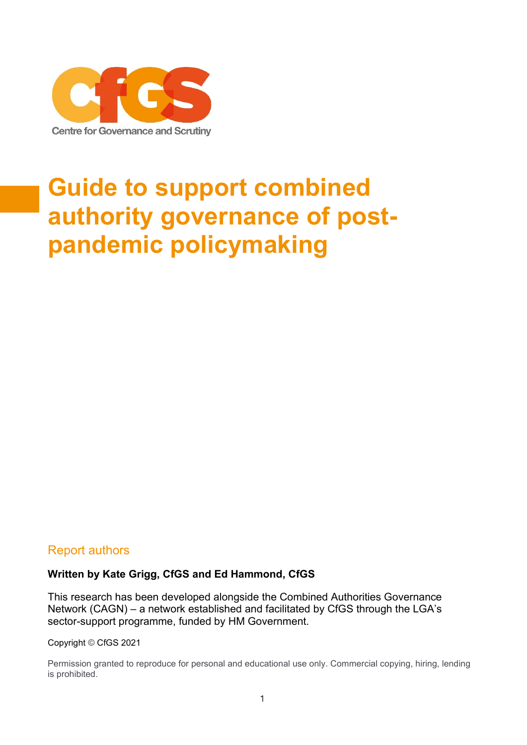

# **Guide to support combined authority governance of postpandemic policymaking**

### Report authors

### **Written by Kate Grigg, CfGS and Ed Hammond, CfGS**

This research has been developed alongside the Combined Authorities Governance Network (CAGN) – a network established and facilitated by CfGS through the LGA's sector-support programme, funded by HM Government.

Copyright © CfGS 2021

Permission granted to reproduce for personal and educational use only. Commercial copying, hiring, lending is prohibited.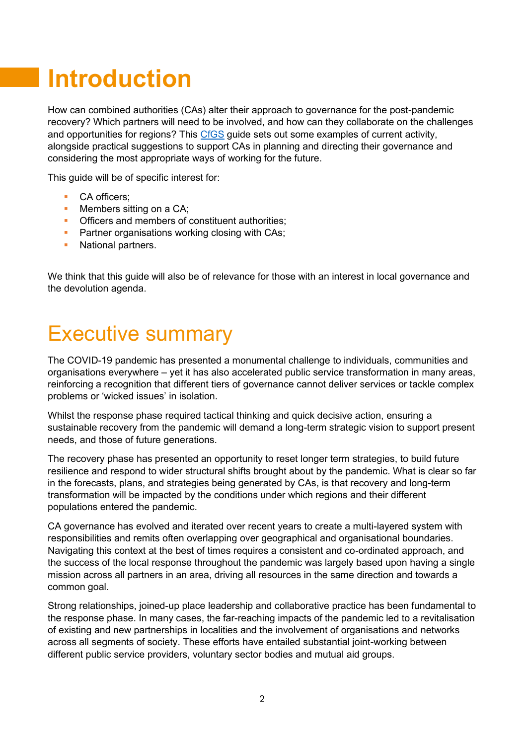# **Introduction**

How can combined authorities (CAs) alter their approach to governance for the post-pandemic recovery? Which partners will need to be involved, and how can they collaborate on the challenges and opportunities for regions? This [CfGS](https://www.cfgs.org.uk/) guide sets out some examples of current activity, alongside practical suggestions to support CAs in planning and directing their governance and considering the most appropriate ways of working for the future.

This guide will be of specific interest for:

- CA officers:
- Members sitting on a CA:
- **Officers and members of constituent authorities:**
- **Partner organisations working closing with CAs;**
- National partners.

We think that this guide will also be of relevance for those with an interest in local governance and the devolution agenda.

## Executive summary

The COVID-19 pandemic has presented a monumental challenge to individuals, communities and organisations everywhere – yet it has also accelerated public service transformation in many areas, reinforcing a recognition that different tiers of governance cannot deliver services or tackle complex problems or 'wicked issues' in isolation.

Whilst the response phase required tactical thinking and quick decisive action, ensuring a sustainable recovery from the pandemic will demand a long-term strategic vision to support present needs, and those of future generations.

The recovery phase has presented an opportunity to reset longer term strategies, to build future resilience and respond to wider structural shifts brought about by the pandemic. What is clear so far in the forecasts, plans, and strategies being generated by CAs, is that recovery and long-term transformation will be impacted by the conditions under which regions and their different populations entered the pandemic.

CA governance has evolved and iterated over recent years to create a multi-layered system with responsibilities and remits often overlapping over geographical and organisational boundaries. Navigating this context at the best of times requires a consistent and co-ordinated approach, and the success of the local response throughout the pandemic was largely based upon having a single mission across all partners in an area, driving all resources in the same direction and towards a common goal.

Strong relationships, joined-up place leadership and collaborative practice has been fundamental to the response phase. In many cases, the far-reaching impacts of the pandemic led to a revitalisation of existing and new partnerships in localities and the involvement of organisations and networks across all segments of society. These efforts have entailed substantial joint-working between different public service providers, voluntary sector bodies and mutual aid groups.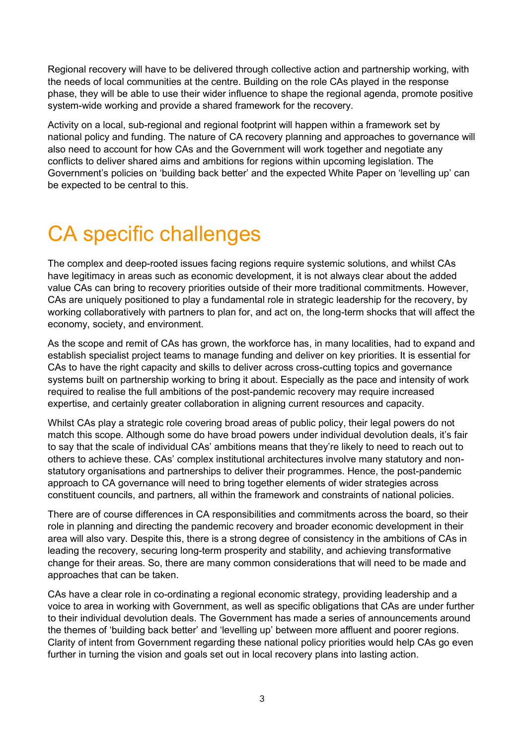Regional recovery will have to be delivered through collective action and partnership working, with the needs of local communities at the centre. Building on the role CAs played in the response phase, they will be able to use their wider influence to shape the regional agenda, promote positive system-wide working and provide a shared framework for the recovery.

Activity on a local, sub-regional and regional footprint will happen within a framework set by national policy and funding. The nature of CA recovery planning and approaches to governance will also need to account for how CAs and the Government will work together and negotiate any conflicts to deliver shared aims and ambitions for regions within upcoming legislation. The Government's policies on 'building back better' and the expected White Paper on 'levelling up' can be expected to be central to this.

## CA specific challenges

The complex and deep-rooted issues facing regions require systemic solutions, and whilst CAs have legitimacy in areas such as economic development, it is not always clear about the added value CAs can bring to recovery priorities outside of their more traditional commitments. However, CAs are uniquely positioned to play a fundamental role in strategic leadership for the recovery, by working collaboratively with partners to plan for, and act on, the long-term shocks that will affect the economy, society, and environment.

As the scope and remit of CAs has grown, the workforce has, in many localities, had to expand and establish specialist project teams to manage funding and deliver on key priorities. It is essential for CAs to have the right capacity and skills to deliver across cross-cutting topics and governance systems built on partnership working to bring it about. Especially as the pace and intensity of work required to realise the full ambitions of the post-pandemic recovery may require increased expertise, and certainly greater collaboration in aligning current resources and capacity.

Whilst CAs play a strategic role covering broad areas of public policy, their legal powers do not match this scope. Although some do have broad powers under individual devolution deals, it's fair to say that the scale of individual CAs' ambitions means that they're likely to need to reach out to others to achieve these. CAs' complex institutional architectures involve many statutory and nonstatutory organisations and partnerships to deliver their programmes. Hence, the post-pandemic approach to CA governance will need to bring together elements of wider strategies across constituent councils, and partners, all within the framework and constraints of national policies.

There are of course differences in CA responsibilities and commitments across the board, so their role in planning and directing the pandemic recovery and broader economic development in their area will also vary. Despite this, there is a strong degree of consistency in the ambitions of CAs in leading the recovery, securing long-term prosperity and stability, and achieving transformative change for their areas. So, there are many common considerations that will need to be made and approaches that can be taken.

CAs have a clear role in co-ordinating a regional economic strategy, providing leadership and a voice to area in working with Government, as well as specific obligations that CAs are under further to their individual devolution deals. The Government has made a series of announcements around the themes of 'building back better' and 'levelling up' between more affluent and poorer regions. Clarity of intent from Government regarding these national policy priorities would help CAs go even further in turning the vision and goals set out in local recovery plans into lasting action.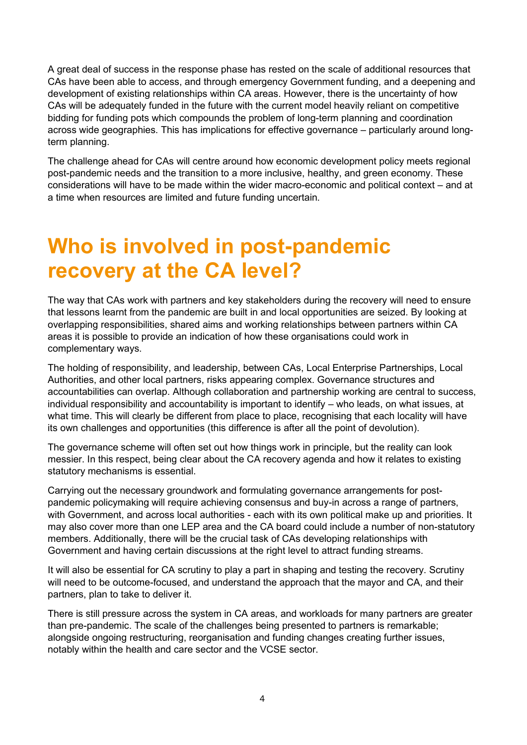A great deal of success in the response phase has rested on the scale of additional resources that CAs have been able to access, and through emergency Government funding, and a deepening and development of existing relationships within CA areas. However, there is the uncertainty of how CAs will be adequately funded in the future with the current model heavily reliant on competitive bidding for funding pots which compounds the problem of long-term planning and coordination across wide geographies. This has implications for effective governance – particularly around longterm planning.

The challenge ahead for CAs will centre around how economic development policy meets regional post-pandemic needs and the transition to a more inclusive, healthy, and green economy. These considerations will have to be made within the wider macro-economic and political context – and at a time when resources are limited and future funding uncertain.

## **Who is involved in post-pandemic recovery at the CA level?**

The way that CAs work with partners and key stakeholders during the recovery will need to ensure that lessons learnt from the pandemic are built in and local opportunities are seized. By looking at overlapping responsibilities, shared aims and working relationships between partners within CA areas it is possible to provide an indication of how these organisations could work in complementary ways.

The holding of responsibility, and leadership, between CAs, Local Enterprise Partnerships, Local Authorities, and other local partners, risks appearing complex. Governance structures and accountabilities can overlap. Although collaboration and partnership working are central to success, individual responsibility and accountability is important to identify – who leads, on what issues, at what time. This will clearly be different from place to place, recognising that each locality will have its own challenges and opportunities (this difference is after all the point of devolution).

The governance scheme will often set out how things work in principle, but the reality can look messier. In this respect, being clear about the CA recovery agenda and how it relates to existing statutory mechanisms is essential.

Carrying out the necessary groundwork and formulating governance arrangements for postpandemic policymaking will require achieving consensus and buy-in across a range of partners, with Government, and across local authorities - each with its own political make up and priorities. It may also cover more than one LEP area and the CA board could include a number of non-statutory members. Additionally, there will be the crucial task of CAs developing relationships with Government and having certain discussions at the right level to attract funding streams.

It will also be essential for CA scrutiny to play a part in shaping and testing the recovery. Scrutiny will need to be outcome-focused, and understand the approach that the mayor and CA, and their partners, plan to take to deliver it.

There is still pressure across the system in CA areas, and workloads for many partners are greater than pre-pandemic. The scale of the challenges being presented to partners is remarkable; alongside ongoing restructuring, reorganisation and funding changes creating further issues, notably within the health and care sector and the VCSE sector.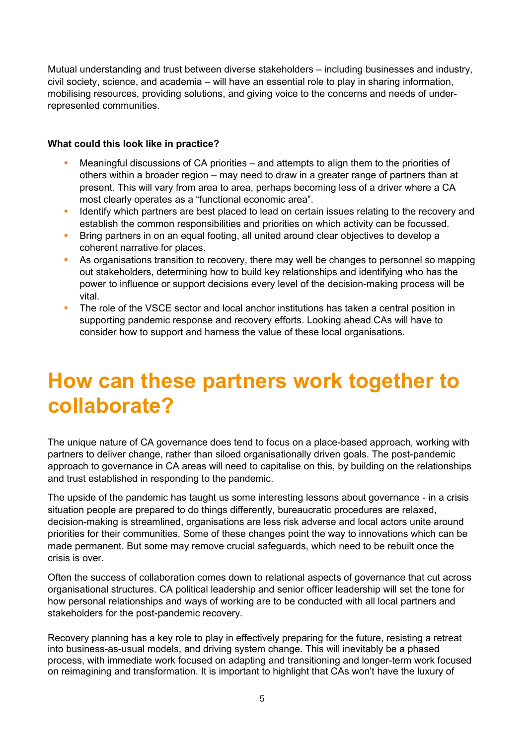Mutual understanding and trust between diverse stakeholders – including businesses and industry, civil society, science, and academia – will have an essential role to play in sharing information, mobilising resources, providing solutions, and giving voice to the concerns and needs of underrepresented communities.

#### **What could this look like in practice?**

- Meaningful discussions of CA priorities  $-$  and attempts to align them to the priorities of others within a broader region – may need to draw in a greater range of partners than at present. This will vary from area to area, perhaps becoming less of a driver where a CA most clearly operates as a "functional economic area".
- **EXECT** Identify which partners are best placed to lead on certain issues relating to the recovery and establish the common responsibilities and priorities on which activity can be focussed.
- Bring partners in on an equal footing, all united around clear objectives to develop a coherent narrative for places.
- **E** As organisations transition to recovery, there may well be changes to personnel so mapping out stakeholders, determining how to build key relationships and identifying who has the power to influence or support decisions every level of the decision-making process will be vital.
- **•** The role of the VSCE sector and local anchor institutions has taken a central position in supporting pandemic response and recovery efforts. Looking ahead CAs will have to consider how to support and harness the value of these local organisations.

## **How can these partners work together to collaborate?**

The unique nature of CA governance does tend to focus on a place-based approach, working with partners to deliver change, rather than siloed organisationally driven goals. The post-pandemic approach to governance in CA areas will need to capitalise on this, by building on the relationships and trust established in responding to the pandemic.

The upside of the pandemic has taught us some interesting lessons about governance - in a crisis situation people are prepared to do things differently, bureaucratic procedures are relaxed, decision-making is streamlined, organisations are less risk adverse and local actors unite around priorities for their communities. Some of these changes point the way to innovations which can be made permanent. But some may remove crucial safeguards, which need to be rebuilt once the crisis is over.

Often the success of collaboration comes down to relational aspects of governance that cut across organisational structures. CA political leadership and senior officer leadership will set the tone for how personal relationships and ways of working are to be conducted with all local partners and stakeholders for the post-pandemic recovery.

Recovery planning has a key role to play in effectively preparing for the future, resisting a retreat into business-as-usual models, and driving system change. This will inevitably be a phased process, with immediate work focused on adapting and transitioning and longer-term work focused on reimagining and transformation. It is important to highlight that CAs won't have the luxury of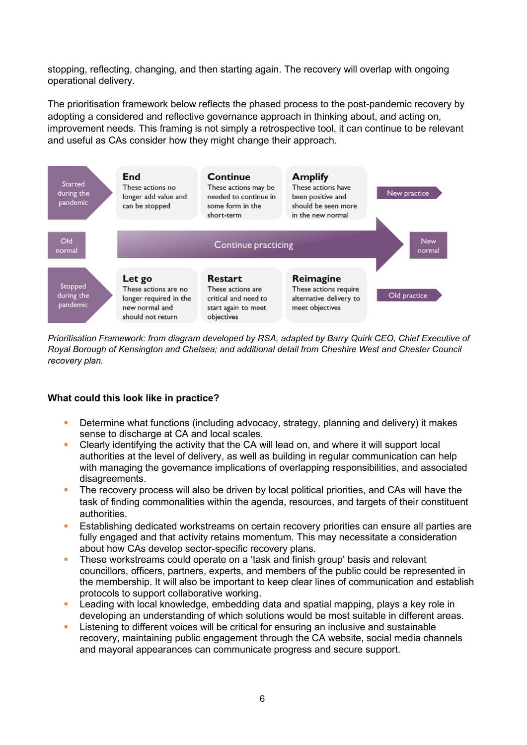stopping, reflecting, changing, and then starting again. The recovery will overlap with ongoing operational delivery.

The prioritisation framework below reflects the phased process to the post-pandemic recovery by adopting a considered and reflective governance approach in thinking about, and acting on, improvement needs. This framing is not simply a retrospective tool, it can continue to be relevant and useful as CAs consider how they might change their approach.



*Prioritisation Framework: from diagram developed by RSA, adapted by Barry Quirk CEO, Chief Executive of Royal Borough of Kensington and Chelsea; and additional detail from Cheshire West and Chester Council recovery plan.*

#### **What could this look like in practice?**

- Determine what functions (including advocacy, strategy, planning and delivery) it makes sense to discharge at CA and local scales.
- Clearly identifying the activity that the CA will lead on, and where it will support local authorities at the level of delivery, as well as building in regular communication can help with managing the governance implications of overlapping responsibilities, and associated disagreements.
- The recovery process will also be driven by local political priorities, and CAs will have the task of finding commonalities within the agenda, resources, and targets of their constituent authorities.
- **Establishing dedicated workstreams on certain recovery priorities can ensure all parties are** fully engaged and that activity retains momentum. This may necessitate a consideration about how CAs develop sector-specific recovery plans.
- **•** These workstreams could operate on a 'task and finish group' basis and relevant councillors, officers, partners, experts, and members of the public could be represented in the membership. It will also be important to keep clear lines of communication and establish protocols to support collaborative working.
- Leading with local knowledge, embedding data and spatial mapping, plays a key role in developing an understanding of which solutions would be most suitable in different areas.
- **EXECT** Listening to different voices will be critical for ensuring an inclusive and sustainable recovery, maintaining public engagement through the CA website, social media channels and mayoral appearances can communicate progress and secure support.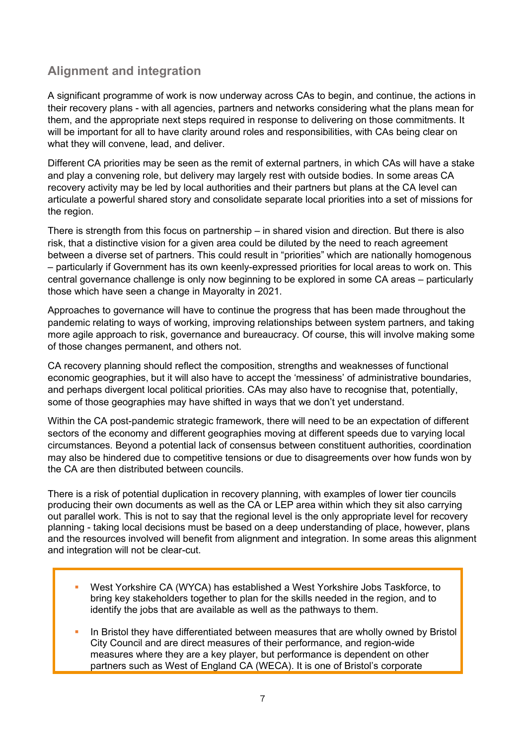### **Alignment and integration**

A significant programme of work is now underway across CAs to begin, and continue, the actions in their recovery plans - with all agencies, partners and networks considering what the plans mean for them, and the appropriate next steps required in response to delivering on those commitments. It will be important for all to have clarity around roles and responsibilities, with CAs being clear on what they will convene, lead, and deliver.

Different CA priorities may be seen as the remit of external partners, in which CAs will have a stake and play a convening role, but delivery may largely rest with outside bodies. In some areas CA recovery activity may be led by local authorities and their partners but plans at the CA level can articulate a powerful shared story and consolidate separate local priorities into a set of missions for the region.

There is strength from this focus on partnership – in shared vision and direction. But there is also risk, that a distinctive vision for a given area could be diluted by the need to reach agreement between a diverse set of partners. This could result in "priorities" which are nationally homogenous – particularly if Government has its own keenly-expressed priorities for local areas to work on. This central governance challenge is only now beginning to be explored in some CA areas – particularly those which have seen a change in Mayoralty in 2021.

Approaches to governance will have to continue the progress that has been made throughout the pandemic relating to ways of working, improving relationships between system partners, and taking more agile approach to risk, governance and bureaucracy. Of course, this will involve making some of those changes permanent, and others not.

CA recovery planning should reflect the composition, strengths and weaknesses of functional economic geographies, but it will also have to accept the 'messiness' of administrative boundaries, and perhaps divergent local political priorities. CAs may also have to recognise that, potentially, some of those geographies may have shifted in ways that we don't yet understand.

Within the CA post-pandemic strategic framework, there will need to be an expectation of different sectors of the economy and different geographies moving at different speeds due to varying local circumstances. Beyond a potential lack of consensus between constituent authorities, coordination may also be hindered due to competitive tensions or due to disagreements over how funds won by the CA are then distributed between councils.

There is a risk of potential duplication in recovery planning, with examples of lower tier councils producing their own documents as well as the CA or LEP area within which they sit also carrying out parallel work. This is not to say that the regional level is the only appropriate level for recovery planning - taking local decisions must be based on a deep understanding of place, however, plans and the resources involved will benefit from alignment and integration. In some areas this alignment and integration will not be clear-cut.

- West Yorkshire CA (WYCA) has established a West Yorkshire Jobs Taskforce, to bring key stakeholders together to plan for the skills needed in the region, and to identify the jobs that are available as well as the pathways to them.
- In Bristol they have differentiated between measures that are wholly owned by Bristol City Council and are direct measures of their performance, and region-wide measures where they are a key player, but performance is dependent on other partners such as West of England CA (WECA). It is one of Bristol's corporate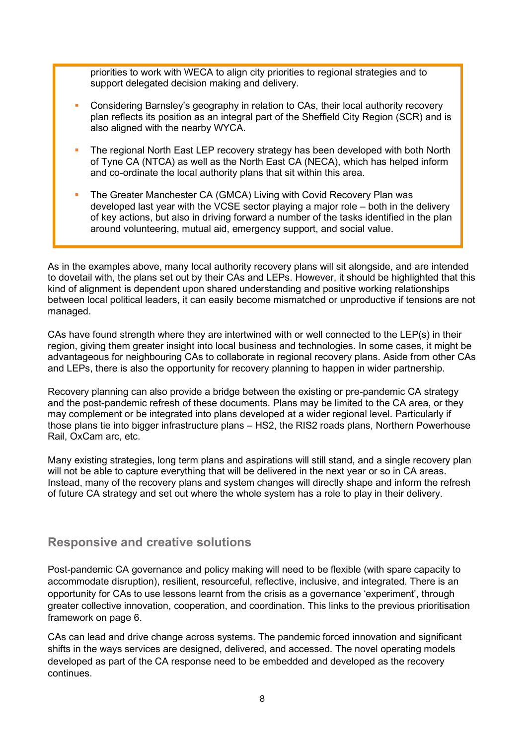priorities to work with WECA to align city priorities to regional strategies and to support delegated decision making and delivery.

- Considering Barnsley's geography in relation to CAs, their local authority recovery plan reflects its position as an integral part of the Sheffield City Region (SCR) and is also aligned with the nearby WYCA.
- The regional North East LEP recovery strategy has been developed with both North of Tyne CA (NTCA) as well as the North East CA (NECA), which has helped inform and co-ordinate the local authority plans that sit within this area.
- The Greater Manchester CA (GMCA) Living with Covid Recovery Plan was developed last year with the VCSE sector playing a major role – both in the delivery of key actions, but also in driving forward a number of the tasks identified in the plan around volunteering, mutual aid, emergency support, and social value.

As in the examples above, many local authority recovery plans will sit alongside, and are intended to dovetail with, the plans set out by their CAs and LEPs. However, it should be highlighted that this kind of alignment is dependent upon shared understanding and positive working relationships between local political leaders, it can easily become mismatched or unproductive if tensions are not managed.

CAs have found strength where they are intertwined with or well connected to the LEP(s) in their region, giving them greater insight into local business and technologies. In some cases, it might be advantageous for neighbouring CAs to collaborate in regional recovery plans. Aside from other CAs and LEPs, there is also the opportunity for recovery planning to happen in wider partnership.

Recovery planning can also provide a bridge between the existing or pre-pandemic CA strategy and the post-pandemic refresh of these documents. Plans may be limited to the CA area, or they may complement or be integrated into plans developed at a wider regional level. Particularly if those plans tie into bigger infrastructure plans – HS2, the RIS2 roads plans, Northern Powerhouse Rail, OxCam arc, etc.

Many existing strategies, long term plans and aspirations will still stand, and a single recovery plan will not be able to capture everything that will be delivered in the next year or so in CA areas. Instead, many of the recovery plans and system changes will directly shape and inform the refresh of future CA strategy and set out where the whole system has a role to play in their delivery.

### **Responsive and creative solutions**

Post-pandemic CA governance and policy making will need to be flexible (with spare capacity to accommodate disruption), resilient, resourceful, reflective, inclusive, and integrated. There is an opportunity for CAs to use lessons learnt from the crisis as a governance 'experiment', through greater collective innovation, cooperation, and coordination. This links to the previous prioritisation framework on page 6.

CAs can lead and drive change across systems. The pandemic forced innovation and significant shifts in the ways services are designed, delivered, and accessed. The novel operating models developed as part of the CA response need to be embedded and developed as the recovery continues.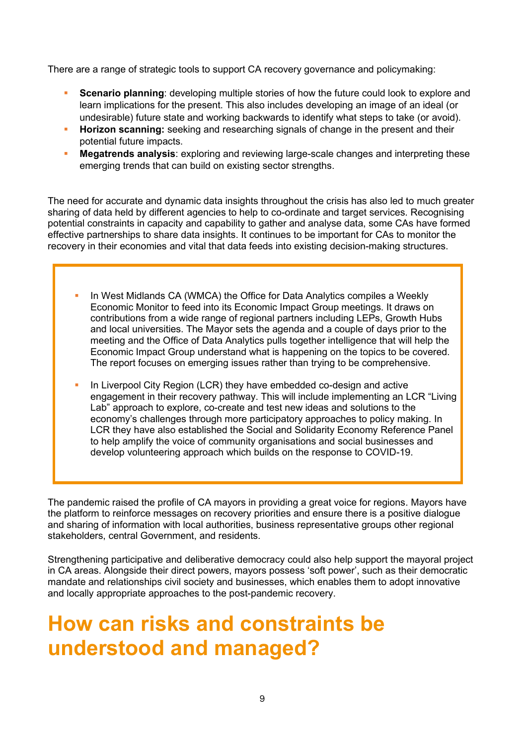There are a range of strategic tools to support CA recovery governance and policymaking:

- **Scenario planning:** developing multiple stories of how the future could look to explore and learn implications for the present. This also includes developing an image of an ideal (or undesirable) future state and working backwards to identify what steps to take (or avoid).
- **Horizon scanning:** seeking and researching signals of change in the present and their potential future impacts.
- **Megatrends analysis:** exploring and reviewing large-scale changes and interpreting these emerging trends that can build on existing sector strengths.

The need for accurate and dynamic data insights throughout the crisis has also led to much greater sharing of data held by different agencies to help to co-ordinate and target services. Recognising potential constraints in capacity and capability to gather and analyse data, some CAs have formed effective partnerships to share data insights. It continues to be important for CAs to monitor the recovery in their economies and vital that data feeds into existing decision-making structures.

- In West Midlands CA (WMCA) the Office for Data Analytics compiles a Weekly Economic Monitor to feed into its Economic Impact Group meetings. It draws on contributions from a wide range of regional partners including LEPs, Growth Hubs and local universities. The Mayor sets the agenda and a couple of days prior to the meeting and the Office of Data Analytics pulls together intelligence that will help the Economic Impact Group understand what is happening on the topics to be covered. The report focuses on emerging issues rather than trying to be comprehensive.
- In Liverpool City Region (LCR) they have embedded co-design and active engagement in their recovery pathway. This will include implementing an LCR "Living Lab" approach to explore, co-create and test new ideas and solutions to the economy's challenges through more participatory approaches to policy making. In LCR they have also established the Social and Solidarity Economy Reference Panel to help amplify the voice of community organisations and social businesses and develop volunteering approach which builds on the response to COVID-19.

The pandemic raised the profile of CA mayors in providing a great voice for regions. Mayors have the platform to reinforce messages on recovery priorities and ensure there is a positive dialogue and sharing of information with local authorities, business representative groups other regional stakeholders, central Government, and residents.

Strengthening participative and deliberative democracy could also help support the mayoral project in CA areas. Alongside their direct powers, mayors possess 'soft power', such as their democratic mandate and relationships civil society and businesses, which enables them to adopt innovative and locally appropriate approaches to the post-pandemic recovery.

## **How can risks and constraints be understood and managed?**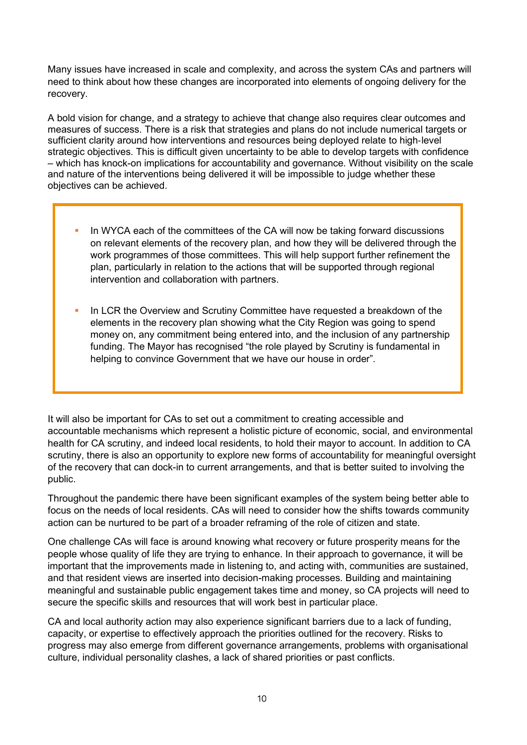Many issues have increased in scale and complexity, and across the system CAs and partners will need to think about how these changes are incorporated into elements of ongoing delivery for the recovery.

A bold vision for change, and a strategy to achieve that change also requires clear outcomes and measures of success. There is a risk that strategies and plans do not include numerical targets or sufficient clarity around how interventions and resources being deployed relate to high-level strategic objectives. This is difficult given uncertainty to be able to develop targets with confidence – which has knock-on implications for accountability and governance. Without visibility on the scale and nature of the interventions being delivered it will be impossible to judge whether these objectives can be achieved.

- In WYCA each of the committees of the CA will now be taking forward discussions on relevant elements of the recovery plan, and how they will be delivered through the work programmes of those committees. This will help support further refinement the plan, particularly in relation to the actions that will be supported through regional intervention and collaboration with partners.
- In LCR the Overview and Scrutiny Committee have requested a breakdown of the elements in the recovery plan showing what the City Region was going to spend money on, any commitment being entered into, and the inclusion of any partnership funding. The Mayor has recognised "the role played by Scrutiny is fundamental in helping to convince Government that we have our house in order".

It will also be important for CAs to set out a commitment to creating accessible and accountable mechanisms which represent a holistic picture of economic, social, and environmental health for CA scrutiny, and indeed local residents, to hold their mayor to account. In addition to CA scrutiny, there is also an opportunity to explore new forms of accountability for meaningful oversight of the recovery that can dock-in to current arrangements, and that is better suited to involving the public.

Throughout the pandemic there have been significant examples of the system being better able to focus on the needs of local residents. CAs will need to consider how the shifts towards community action can be nurtured to be part of a broader reframing of the role of citizen and state.

One challenge CAs will face is around knowing what recovery or future prosperity means for the people whose quality of life they are trying to enhance. In their approach to governance, it will be important that the improvements made in listening to, and acting with, communities are sustained, and that resident views are inserted into decision-making processes. Building and maintaining meaningful and sustainable public engagement takes time and money, so CA projects will need to secure the specific skills and resources that will work best in particular place.

CA and local authority action may also experience significant barriers due to a lack of funding, capacity, or expertise to effectively approach the priorities outlined for the recovery. Risks to progress may also emerge from different governance arrangements, problems with organisational culture, individual personality clashes, a lack of shared priorities or past conflicts.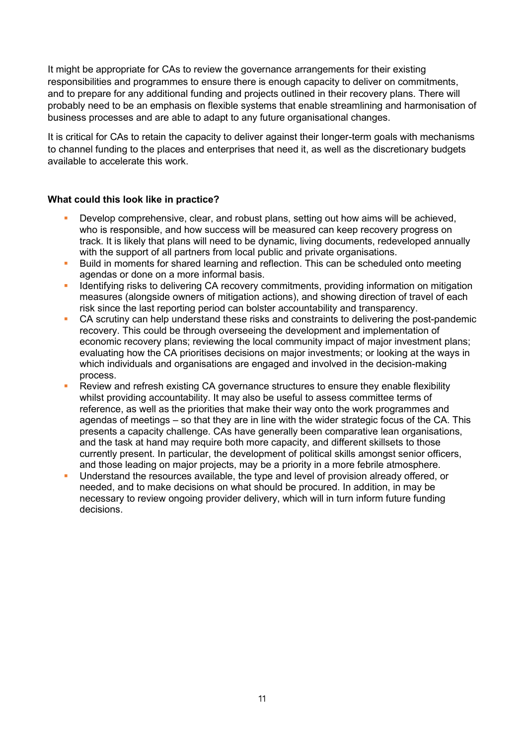It might be appropriate for CAs to review the governance arrangements for their existing responsibilities and programmes to ensure there is enough capacity to deliver on commitments, and to prepare for any additional funding and projects outlined in their recovery plans. There will probably need to be an emphasis on flexible systems that enable streamlining and harmonisation of business processes and are able to adapt to any future organisational changes.

It is critical for CAs to retain the capacity to deliver against their longer-term goals with mechanisms to channel funding to the places and enterprises that need it, as well as the discretionary budgets available to accelerate this work.

#### **What could this look like in practice?**

- Develop comprehensive, clear, and robust plans, setting out how aims will be achieved, who is responsible, and how success will be measured can keep recovery progress on track. It is likely that plans will need to be dynamic, living documents, redeveloped annually with the support of all partners from local public and private organisations.
- Build in moments for shared learning and reflection. This can be scheduled onto meeting agendas or done on a more informal basis.
- Identifying risks to delivering CA recovery commitments, providing information on mitigation measures (alongside owners of mitigation actions), and showing direction of travel of each risk since the last reporting period can bolster accountability and transparency.
- CA scrutiny can help understand these risks and constraints to delivering the post-pandemic recovery. This could be through overseeing the development and implementation of economic recovery plans; reviewing the local community impact of major investment plans; evaluating how the CA prioritises decisions on major investments; or looking at the ways in which individuals and organisations are engaged and involved in the decision-making process.
- Review and refresh existing CA governance structures to ensure they enable flexibility whilst providing accountability. It may also be useful to assess committee terms of reference, as well as the priorities that make their way onto the work programmes and agendas of meetings – so that they are in line with the wider strategic focus of the CA. This presents a capacity challenge. CAs have generally been comparative lean organisations, and the task at hand may require both more capacity, and different skillsets to those currently present. In particular, the development of political skills amongst senior officers, and those leading on major projects, may be a priority in a more febrile atmosphere.
- Understand the resources available, the type and level of provision already offered, or needed, and to make decisions on what should be procured. In addition, in may be necessary to review ongoing provider delivery, which will in turn inform future funding decisions.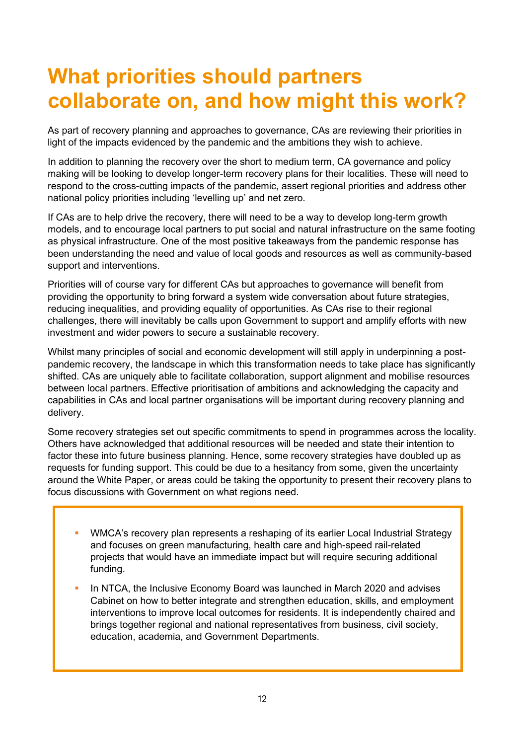## **What priorities should partners collaborate on, and how might this work?**

As part of recovery planning and approaches to governance, CAs are reviewing their priorities in light of the impacts evidenced by the pandemic and the ambitions they wish to achieve.

In addition to planning the recovery over the short to medium term, CA governance and policy making will be looking to develop longer-term recovery plans for their localities. These will need to respond to the cross-cutting impacts of the pandemic, assert regional priorities and address other national policy priorities including 'levelling up' and net zero.

If CAs are to help drive the recovery, there will need to be a way to develop long-term growth models, and to encourage local partners to put social and natural infrastructure on the same footing as physical infrastructure. One of the most positive takeaways from the pandemic response has been understanding the need and value of local goods and resources as well as community-based support and interventions.

Priorities will of course vary for different CAs but approaches to governance will benefit from providing the opportunity to bring forward a system wide conversation about future strategies, reducing inequalities, and providing equality of opportunities. As CAs rise to their regional challenges, there will inevitably be calls upon Government to support and amplify efforts with new investment and wider powers to secure a sustainable recovery.

Whilst many principles of social and economic development will still apply in underpinning a postpandemic recovery, the landscape in which this transformation needs to take place has significantly shifted. CAs are uniquely able to facilitate collaboration, support alignment and mobilise resources between local partners. Effective prioritisation of ambitions and acknowledging the capacity and capabilities in CAs and local partner organisations will be important during recovery planning and delivery.

Some recovery strategies set out specific commitments to spend in programmes across the locality. Others have acknowledged that additional resources will be needed and state their intention to factor these into future business planning. Hence, some recovery strategies have doubled up as requests for funding support. This could be due to a hesitancy from some, given the uncertainty around the White Paper, or areas could be taking the opportunity to present their recovery plans to focus discussions with Government on what regions need.

- WMCA's recovery plan represents a reshaping of its earlier Local Industrial Strategy and focuses on green manufacturing, health care and high-speed rail-related projects that would have an immediate impact but will require securing additional funding.
- In NTCA, the Inclusive Economy Board was launched in March 2020 and advises Cabinet on how to better integrate and strengthen education, skills, and employment interventions to improve local outcomes for residents. It is independently chaired and brings together regional and national representatives from business, civil society, education, academia, and Government Departments.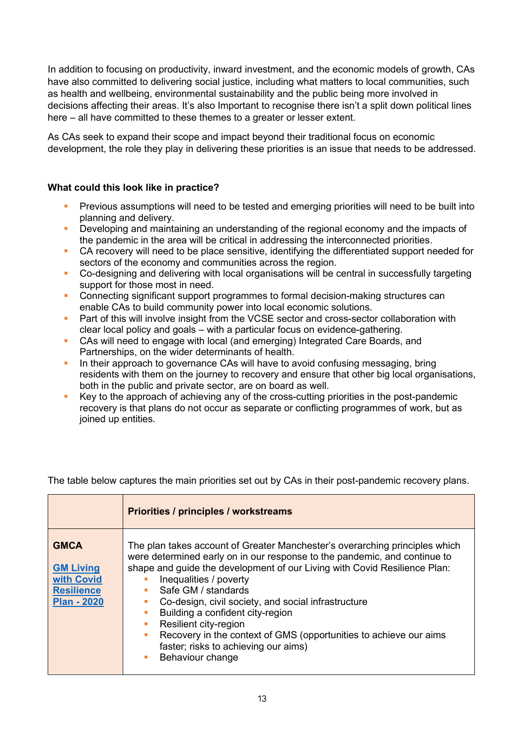In addition to focusing on productivity, inward investment, and the economic models of growth, CAs have also committed to delivering social justice, including what matters to local communities, such as health and wellbeing, environmental sustainability and the public being more involved in decisions affecting their areas. It's also Important to recognise there isn't a split down political lines here – all have committed to these themes to a greater or lesser extent.

As CAs seek to expand their scope and impact beyond their traditional focus on economic development, the role they play in delivering these priorities is an issue that needs to be addressed.

#### **What could this look like in practice?**

- Previous assumptions will need to be tested and emerging priorities will need to be built into planning and delivery.
- **•** Developing and maintaining an understanding of the regional economy and the impacts of the pandemic in the area will be critical in addressing the interconnected priorities.
- **CA recovery will need to be place sensitive, identifying the differentiated support needed for** sectors of the economy and communities across the region.
- Co-designing and delivering with local organisations will be central in successfully targeting support for those most in need.
- Connecting significant support programmes to formal decision-making structures can enable CAs to build community power into local economic solutions.
- Part of this will involve insight from the VCSE sector and cross-sector collaboration with clear local policy and goals – with a particular focus on evidence-gathering.
- CAs will need to engage with local (and emerging) Integrated Care Boards, and Partnerships, on the wider determinants of health.
- In their approach to governance CAs will have to avoid confusing messaging, bring residents with them on the journey to recovery and ensure that other big local organisations, both in the public and private sector, are on board as well.
- Key to the approach of achieving any of the cross-cutting priorities in the post-pandemic recovery is that plans do not occur as separate or conflicting programmes of work, but as joined up entities.

The table below captures the main priorities set out by CAs in their post-pandemic recovery plans.

|                                                                                          | Priorities / principles / workstreams                                                                                                                                                                                                                                                                                                                                                                                                                                                                                                       |
|------------------------------------------------------------------------------------------|---------------------------------------------------------------------------------------------------------------------------------------------------------------------------------------------------------------------------------------------------------------------------------------------------------------------------------------------------------------------------------------------------------------------------------------------------------------------------------------------------------------------------------------------|
| <b>GMCA</b><br><b>GM Living</b><br>with Covid<br><b>Resilience</b><br><b>Plan - 2020</b> | The plan takes account of Greater Manchester's overarching principles which<br>were determined early on in our response to the pandemic, and continue to<br>shape and guide the development of our Living with Covid Resilience Plan:<br>Inequalities / poverty<br>Safe GM / standards<br>Co-design, civil society, and social infrastructure<br>Building a confident city-region<br>Resilient city-region<br>Recovery in the context of GMS (opportunities to achieve our aims<br>faster; risks to achieving our aims)<br>Behaviour change |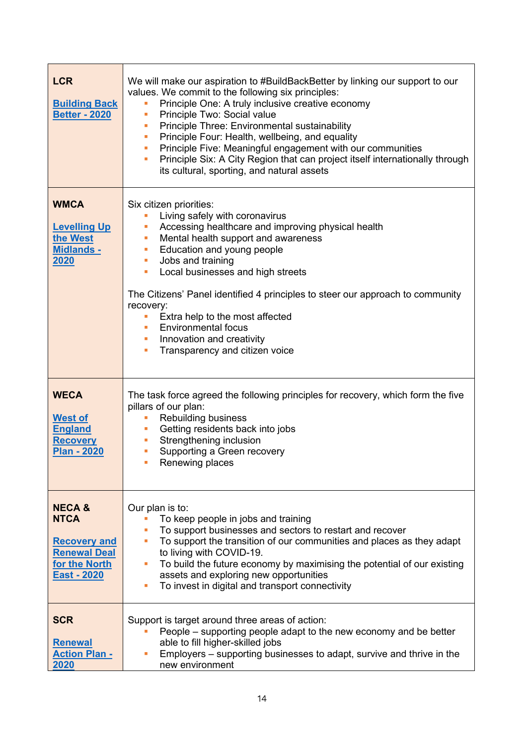| <b>LCR</b><br><b>Building Back</b><br><b>Better - 2020</b>                                                     | We will make our aspiration to #BuildBackBetter by linking our support to our<br>values. We commit to the following six principles:<br>Principle One: A truly inclusive creative economy<br>Principle Two: Social value<br>П<br>Principle Three: Environmental sustainability<br>E<br>Principle Four: Health, wellbeing, and equality<br>m,<br>Principle Five: Meaningful engagement with our communities<br>m.<br>Principle Six: A City Region that can project itself internationally through<br>I.<br>its cultural, sporting, and natural assets |
|----------------------------------------------------------------------------------------------------------------|-----------------------------------------------------------------------------------------------------------------------------------------------------------------------------------------------------------------------------------------------------------------------------------------------------------------------------------------------------------------------------------------------------------------------------------------------------------------------------------------------------------------------------------------------------|
| <b>WMCA</b><br><b>Levelling Up</b><br>the West<br><b>Midlands -</b><br>2020                                    | Six citizen priorities:<br>Living safely with coronavirus<br>Accessing healthcare and improving physical health<br>П<br>Mental health support and awareness<br>ш<br>Education and young people<br>ш<br>Jobs and training<br>ш<br>Local businesses and high streets<br>ш<br>The Citizens' Panel identified 4 principles to steer our approach to community<br>recovery:<br>Extra help to the most affected<br>П<br><b>Environmental focus</b><br>Innovation and creativity<br>ш<br>Transparency and citizen voice<br>Т,                              |
| <b>WECA</b><br><b>West of</b><br><b>England</b><br><b>Recovery</b><br><b>Plan - 2020</b>                       | The task force agreed the following principles for recovery, which form the five<br>pillars of our plan:<br><b>Rebuilding business</b><br>П<br>Getting residents back into jobs<br>ш<br>Strengthening inclusion<br>ш<br>Supporting a Green recovery<br>ш<br>Renewing places<br><b>The Contract</b>                                                                                                                                                                                                                                                  |
| <b>NECA &amp;</b><br><b>NTCA</b><br><b>Recovery and</b><br><b>Renewal Deal</b><br>for the North<br>East - 2020 | Our plan is to:<br>To keep people in jobs and training<br>To support businesses and sectors to restart and recover<br>To support the transition of our communities and places as they adapt<br>$\overline{\phantom{a}}$<br>to living with COVID-19.<br>To build the future economy by maximising the potential of our existing<br>$\overline{\phantom{a}}$<br>assets and exploring new opportunities<br>To invest in digital and transport connectivity<br>$\overline{\phantom{a}}$                                                                 |
| <b>SCR</b><br><b>Renewal</b><br><b>Action Plan -</b><br>2020                                                   | Support is target around three areas of action:<br>People – supporting people adapt to the new economy and be better<br>able to fill higher-skilled jobs<br>Employers - supporting businesses to adapt, survive and thrive in the<br>new environment                                                                                                                                                                                                                                                                                                |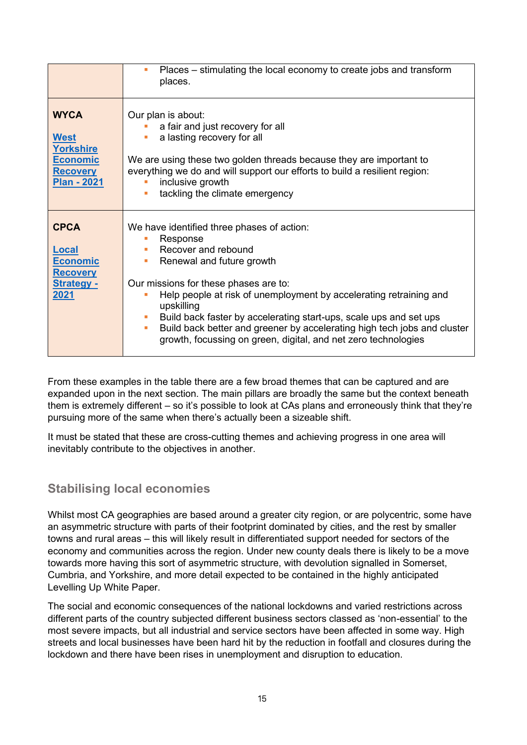|                                                                                                            | Places – stimulating the local economy to create jobs and transform<br>ш<br>places.                                                                                                                                                                                                                                                                                                                                                                                                                                                            |
|------------------------------------------------------------------------------------------------------------|------------------------------------------------------------------------------------------------------------------------------------------------------------------------------------------------------------------------------------------------------------------------------------------------------------------------------------------------------------------------------------------------------------------------------------------------------------------------------------------------------------------------------------------------|
| <b>WYCA</b><br><b>West</b><br><b>Yorkshire</b><br><b>Economic</b><br><b>Recovery</b><br><b>Plan - 2021</b> | Our plan is about:<br>a fair and just recovery for all<br>a lasting recovery for all<br>We are using these two golden threads because they are important to<br>everything we do and will support our efforts to build a resilient region:<br>inclusive growth<br>tackling the climate emergency                                                                                                                                                                                                                                                |
| <b>CPCA</b><br>Local<br><b>Economic</b><br><b>Recovery</b><br><b>Strategy -</b><br>2021                    | We have identified three phases of action:<br>Response<br>$\blacksquare$<br>Recover and rebound<br>Renewal and future growth<br>$\overline{\phantom{a}}$<br>Our missions for these phases are to:<br>Help people at risk of unemployment by accelerating retraining and<br>upskilling<br>Build back faster by accelerating start-ups, scale ups and set ups<br>m.<br>Build back better and greener by accelerating high tech jobs and cluster<br>$\mathcal{L}_{\mathcal{A}}$<br>growth, focussing on green, digital, and net zero technologies |

From these examples in the table there are a few broad themes that can be captured and are expanded upon in the next section. The main pillars are broadly the same but the context beneath them is extremely different – so it's possible to look at CAs plans and erroneously think that they're pursuing more of the same when there's actually been a sizeable shift.

It must be stated that these are cross-cutting themes and achieving progress in one area will inevitably contribute to the objectives in another.

### **Stabilising local economies**

Whilst most CA geographies are based around a greater city region, or are polycentric, some have an asymmetric structure with parts of their footprint dominated by cities, and the rest by smaller towns and rural areas – this will likely result in differentiated support needed for sectors of the economy and communities across the region. Under new county deals there is likely to be a move towards more having this sort of asymmetric structure, with devolution signalled in Somerset, Cumbria, and Yorkshire, and more detail expected to be contained in the highly anticipated Levelling Up White Paper.

The social and economic consequences of the national lockdowns and varied restrictions across different parts of the country subjected different business sectors classed as 'non-essential' to the most severe impacts, but all industrial and service sectors have been affected in some way. High streets and local businesses have been hard hit by the reduction in footfall and closures during the lockdown and there have been rises in unemployment and disruption to education.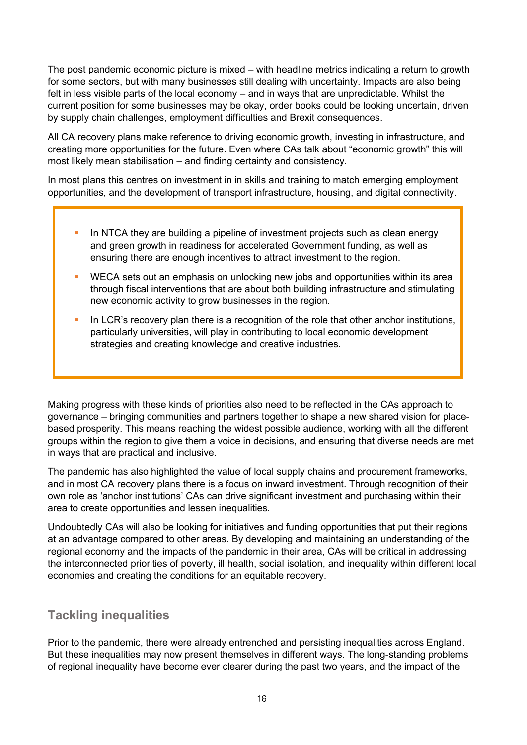The post pandemic economic picture is mixed – with headline metrics indicating a return to growth for some sectors, but with many businesses still dealing with uncertainty. Impacts are also being felt in less visible parts of the local economy – and in ways that are unpredictable. Whilst the current position for some businesses may be okay, order books could be looking uncertain, driven by supply chain challenges, employment difficulties and Brexit consequences.

All CA recovery plans make reference to driving economic growth, investing in infrastructure, and creating more opportunities for the future. Even where CAs talk about "economic growth" this will most likely mean stabilisation – and finding certainty and consistency.

In most plans this centres on investment in in skills and training to match emerging employment opportunities, and the development of transport infrastructure, housing, and digital connectivity.

- In NTCA they are building a pipeline of investment projects such as clean energy and green growth in readiness for accelerated Government funding, as well as ensuring there are enough incentives to attract investment to the region.
- WECA sets out an emphasis on unlocking new jobs and opportunities within its area through fiscal interventions that are about both building infrastructure and stimulating new economic activity to grow businesses in the region.
- In LCR's recovery plan there is a recognition of the role that other anchor institutions, particularly universities, will play in contributing to local economic development strategies and creating knowledge and creative industries.

Making progress with these kinds of priorities also need to be reflected in the CAs approach to governance – bringing communities and partners together to shape a new shared vision for placebased prosperity. This means reaching the widest possible audience, working with all the different groups within the region to give them a voice in decisions, and ensuring that diverse needs are met in ways that are practical and inclusive.

The pandemic has also highlighted the value of local supply chains and procurement frameworks, and in most CA recovery plans there is a focus on inward investment. Through recognition of their own role as 'anchor institutions' CAs can drive significant investment and purchasing within their area to create opportunities and lessen inequalities.

Undoubtedly CAs will also be looking for initiatives and funding opportunities that put their regions at an advantage compared to other areas. By developing and maintaining an understanding of the regional economy and the impacts of the pandemic in their area, CAs will be critical in addressing the interconnected priorities of poverty, ill health, social isolation, and inequality within different local economies and creating the conditions for an equitable recovery.

### **Tackling inequalities**

Prior to the pandemic, there were already entrenched and persisting inequalities across England. But these inequalities may now present themselves in different ways. The long-standing problems of regional inequality have become ever clearer during the past two years, and the impact of the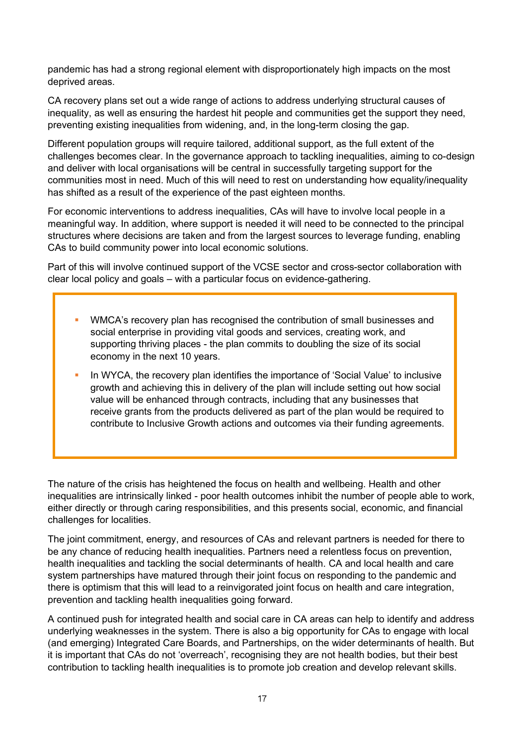pandemic has had a strong regional element with disproportionately high impacts on the most deprived areas.

CA recovery plans set out a wide range of actions to address underlying structural causes of inequality, as well as ensuring the hardest hit people and communities get the support they need, preventing existing inequalities from widening, and, in the long-term closing the gap.

Different population groups will require tailored, additional support, as the full extent of the challenges becomes clear. In the governance approach to tackling inequalities, aiming to co-design and deliver with local organisations will be central in successfully targeting support for the communities most in need. Much of this will need to rest on understanding how equality/inequality has shifted as a result of the experience of the past eighteen months.

For economic interventions to address inequalities, CAs will have to involve local people in a meaningful way. In addition, where support is needed it will need to be connected to the principal structures where decisions are taken and from the largest sources to leverage funding, enabling CAs to build community power into local economic solutions.

Part of this will involve continued support of the VCSE sector and cross-sector collaboration with clear local policy and goals – with a particular focus on evidence-gathering.

- WMCA's recovery plan has recognised the contribution of small businesses and social enterprise in providing vital goods and services, creating work, and supporting thriving places - the plan commits to doubling the size of its social economy in the next 10 years.
- In WYCA, the recovery plan identifies the importance of 'Social Value' to inclusive growth and achieving this in delivery of the plan will include setting out how social value will be enhanced through contracts, including that any businesses that receive grants from the products delivered as part of the plan would be required to contribute to Inclusive Growth actions and outcomes via their funding agreements.

The nature of the crisis has heightened the focus on health and wellbeing. Health and other inequalities are intrinsically linked - poor health outcomes inhibit the number of people able to work, either directly or through caring responsibilities, and this presents social, economic, and financial challenges for localities.

The joint commitment, energy, and resources of CAs and relevant partners is needed for there to be any chance of reducing health inequalities. Partners need a relentless focus on prevention, health inequalities and tackling the social determinants of health. CA and local health and care system partnerships have matured through their joint focus on responding to the pandemic and there is optimism that this will lead to a reinvigorated joint focus on health and care integration, prevention and tackling health inequalities going forward.

A continued push for integrated health and social care in CA areas can help to identify and address underlying weaknesses in the system. There is also a big opportunity for CAs to engage with local (and emerging) Integrated Care Boards, and Partnerships, on the wider determinants of health. But it is important that CAs do not 'overreach', recognising they are not health bodies, but their best contribution to tackling health inequalities is to promote job creation and develop relevant skills.